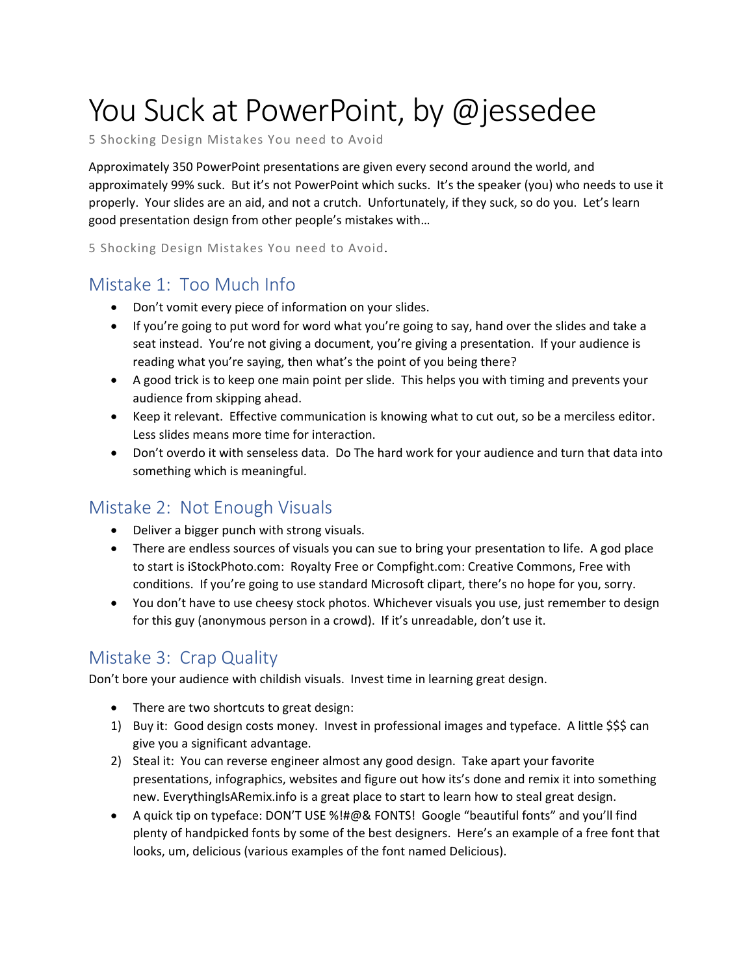# You Suck at PowerPoint, by @jessedee

5 Shocking Design Mistakes You need to Avoid

Approximately 350 PowerPoint presentations are given every second around the world, and approximately 99% suck. But it's not PowerPoint which sucks. It's the speaker (you) who needs to use it properly. Your slides are an aid, and not a crutch. Unfortunately, if they suck, so do you. Let's learn good presentation design from other people's mistakes with…

5 Shocking Design Mistakes You need to Avoid.

# Mistake 1: Too Much Info

- Don't vomit every piece of information on your slides.
- If you're going to put word for word what you're going to say, hand over the slides and take a seat instead. You're not giving a document, you're giving a presentation. If your audience is reading what you're saying, then what's the point of you being there?
- A good trick is to keep one main point per slide. This helps you with timing and prevents your audience from skipping ahead.
- Keep it relevant. Effective communication is knowing what to cut out, so be a merciless editor. Less slides means more time for interaction.
- Don't overdo it with senseless data. Do The hard work for your audience and turn that data into something which is meaningful.

#### Mistake 2: Not Enough Visuals

- Deliver a bigger punch with strong visuals.
- There are endless sources of visuals you can sue to bring your presentation to life. A god place to start is iStockPhoto.com: Royalty Free or Compfight.com: Creative Commons, Free with conditions. If you're going to use standard Microsoft clipart, there's no hope for you, sorry.
- You don't have to use cheesy stock photos. Whichever visuals you use, just remember to design for this guy (anonymous person in a crowd). If it's unreadable, don't use it.

## Mistake 3: Crap Quality

Don't bore your audience with childish visuals. Invest time in learning great design.

- There are two shortcuts to great design:
- 1) Buy it: Good design costs money. Invest in professional images and typeface. A little \$\$\$ can give you a significant advantage.
- 2) Steal it: You can reverse engineer almost any good design. Take apart your favorite presentations, infographics, websites and figure out how its's done and remix it into something new. EverythingIsARemix.info is a great place to start to learn how to steal great design.
- A quick tip on typeface: DON'T USE %!#@& FONTS! Google "beautiful fonts" and you'll find plenty of handpicked fonts by some of the best designers. Here's an example of a free font that looks, um, delicious (various examples of the font named Delicious).